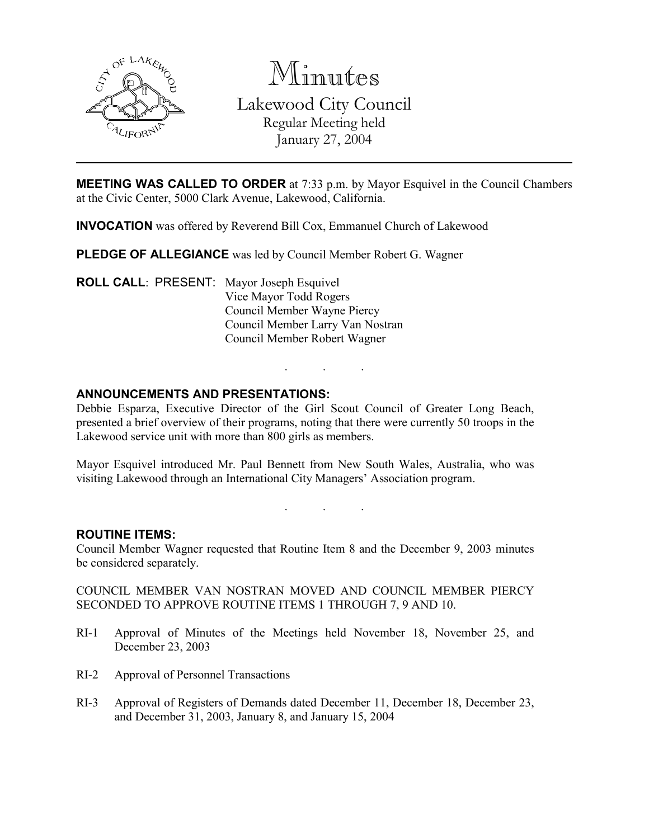

Minutes

Lakewood City Council Regular Meeting held January 27, 2004

MEETING WAS CALLED TO ORDER at 7:33 p.m. by Mayor Esquivel in the Council Chambers at the Civic Center, 5000 Clark Avenue, Lakewood, California.

INVOCATION was offered by Reverend Bill Cox, Emmanuel Church of Lakewood

PLEDGE OF ALLEGIANCE was led by Council Member Robert G. Wagner

ROLL CALL: PRESENT: Mayor Joseph Esquivel Vice Mayor Todd Rogers Council Member Wayne Piercy Council Member Larry Van Nostran Council Member Robert Wagner

## ANNOUNCEMENTS AND PRESENTATIONS:

Debbie Esparza, Executive Director of the Girl Scout Council of Greater Long Beach, presented a brief overview of their programs, noting that there were currently 50 troops in the Lakewood service unit with more than 800 girls as members.

. . .

Mayor Esquivel introduced Mr. Paul Bennett from New South Wales, Australia, who was visiting Lakewood through an International City Managers' Association program.

. . .

ROUTINE ITEMS:

Council Member Wagner requested that Routine Item 8 and the December 9, 2003 minutes be considered separately.

COUNCIL MEMBER VAN NOSTRAN MOVED AND COUNCIL MEMBER PIERCY SECONDED TO APPROVE ROUTINE ITEMS 1 THROUGH 7, 9 AND 10.

- RI-1 Approval of Minutes of the Meetings held November 18, November 25, and December 23, 2003
- RI-2 Approval of Personnel Transactions
- RI-3 Approval of Registers of Demands dated December 11, December 18, December 23, and December 31, 2003, January 8, and January 15, 2004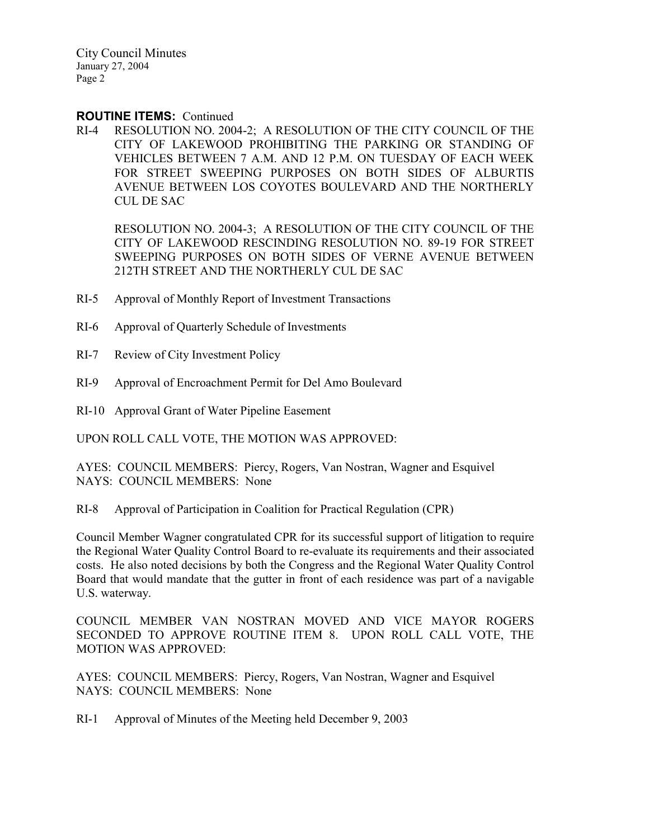### ROUTINE ITEMS: Continued

RI-4 RESOLUTION NO. 2004-2; A RESOLUTION OF THE CITY COUNCIL OF THE CITY OF LAKEWOOD PROHIBITING THE PARKING OR STANDING OF VEHICLES BETWEEN 7 A.M. AND 12 P.M. ON TUESDAY OF EACH WEEK FOR STREET SWEEPING PURPOSES ON BOTH SIDES OF ALBURTIS AVENUE BETWEEN LOS COYOTES BOULEVARD AND THE NORTHERLY CUL DE SAC

RESOLUTION NO. 2004-3; A RESOLUTION OF THE CITY COUNCIL OF THE CITY OF LAKEWOOD RESCINDING RESOLUTION NO. 89-19 FOR STREET SWEEPING PURPOSES ON BOTH SIDES OF VERNE AVENUE BETWEEN 212TH STREET AND THE NORTHERLY CUL DE SAC

- RI-5 Approval of Monthly Report of Investment Transactions
- RI-6 Approval of Quarterly Schedule of Investments
- RI-7 Review of City Investment Policy
- RI-9 Approval of Encroachment Permit for Del Amo Boulevard
- RI-10 Approval Grant of Water Pipeline Easement

UPON ROLL CALL VOTE, THE MOTION WAS APPROVED:

AYES: COUNCIL MEMBERS: Piercy, Rogers, Van Nostran, Wagner and Esquivel NAYS: COUNCIL MEMBERS: None

RI-8 Approval of Participation in Coalition for Practical Regulation (CPR)

Council Member Wagner congratulated CPR for its successful support of litigation to require the Regional Water Quality Control Board to re-evaluate its requirements and their associated costs. He also noted decisions by both the Congress and the Regional Water Quality Control Board that would mandate that the gutter in front of each residence was part of a navigable U.S. waterway.

COUNCIL MEMBER VAN NOSTRAN MOVED AND VICE MAYOR ROGERS SECONDED TO APPROVE ROUTINE ITEM 8. UPON ROLL CALL VOTE, THE MOTION WAS APPROVED:

AYES: COUNCIL MEMBERS: Piercy, Rogers, Van Nostran, Wagner and Esquivel NAYS: COUNCIL MEMBERS: None

RI-1 Approval of Minutes of the Meeting held December 9, 2003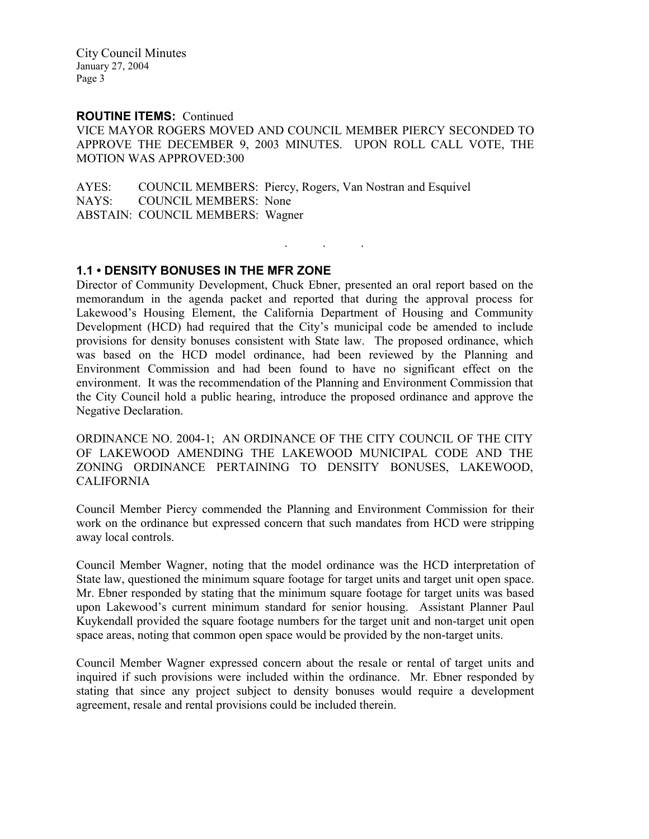## ROUTINE ITEMS: Continued

VICE MAYOR ROGERS MOVED AND COUNCIL MEMBER PIERCY SECONDED TO APPROVE THE DECEMBER 9, 2003 MINUTES. UPON ROLL CALL VOTE, THE MOTION WAS APPROVED:300

. . .

AYES: COUNCIL MEMBERS: Piercy, Rogers, Van Nostran and Esquivel NAYS: COUNCIL MEMBERS: None ABSTAIN: COUNCIL MEMBERS: Wagner

## 1.1 • DENSITY BONUSES IN THE MFR ZONE

Director of Community Development, Chuck Ebner, presented an oral report based on the memorandum in the agenda packet and reported that during the approval process for Lakewood's Housing Element, the California Department of Housing and Community Development (HCD) had required that the City's municipal code be amended to include provisions for density bonuses consistent with State law. The proposed ordinance, which was based on the HCD model ordinance, had been reviewed by the Planning and Environment Commission and had been found to have no significant effect on the environment. It was the recommendation of the Planning and Environment Commission that the City Council hold a public hearing, introduce the proposed ordinance and approve the Negative Declaration.

ORDINANCE NO. 2004-1; AN ORDINANCE OF THE CITY COUNCIL OF THE CITY OF LAKEWOOD AMENDING THE LAKEWOOD MUNICIPAL CODE AND THE ZONING ORDINANCE PERTAINING TO DENSITY BONUSES, LAKEWOOD, CALIFORNIA

Council Member Piercy commended the Planning and Environment Commission for their work on the ordinance but expressed concern that such mandates from HCD were stripping away local controls.

Council Member Wagner, noting that the model ordinance was the HCD interpretation of State law, questioned the minimum square footage for target units and target unit open space. Mr. Ebner responded by stating that the minimum square footage for target units was based upon Lakewood's current minimum standard for senior housing. Assistant Planner Paul Kuykendall provided the square footage numbers for the target unit and non-target unit open space areas, noting that common open space would be provided by the non-target units.

Council Member Wagner expressed concern about the resale or rental of target units and inquired if such provisions were included within the ordinance. Mr. Ebner responded by stating that since any project subject to density bonuses would require a development agreement, resale and rental provisions could be included therein.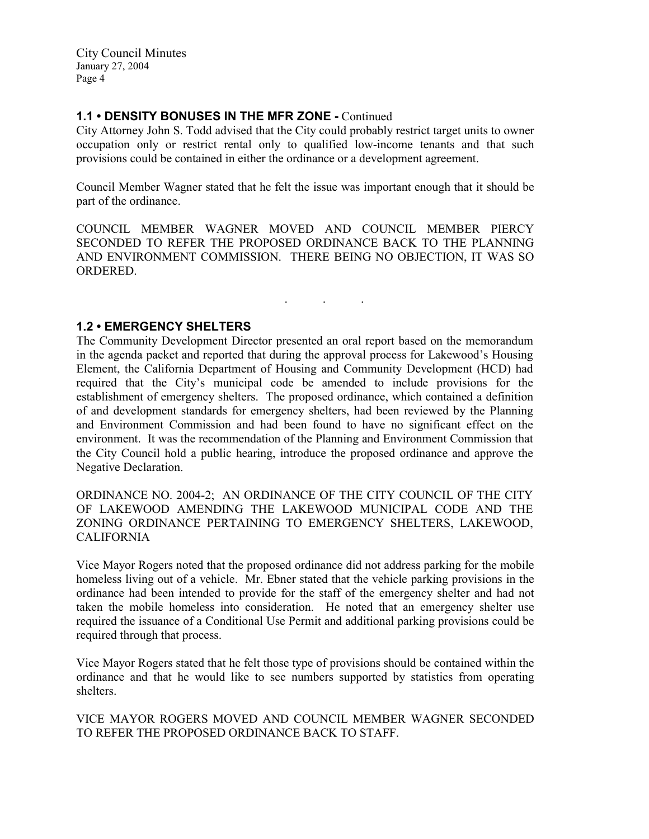## 1.1 • DENSITY BONUSES IN THE MFR ZONE - Continued

City Attorney John S. Todd advised that the City could probably restrict target units to owner occupation only or restrict rental only to qualified low-income tenants and that such provisions could be contained in either the ordinance or a development agreement.

Council Member Wagner stated that he felt the issue was important enough that it should be part of the ordinance.

COUNCIL MEMBER WAGNER MOVED AND COUNCIL MEMBER PIERCY SECONDED TO REFER THE PROPOSED ORDINANCE BACK TO THE PLANNING AND ENVIRONMENT COMMISSION. THERE BEING NO OBJECTION, IT WAS SO **ORDERED.** 

. . .

## 1.2 • EMERGENCY SHELTERS

The Community Development Director presented an oral report based on the memorandum in the agenda packet and reported that during the approval process for Lakewood's Housing Element, the California Department of Housing and Community Development (HCD) had required that the City's municipal code be amended to include provisions for the establishment of emergency shelters. The proposed ordinance, which contained a definition of and development standards for emergency shelters, had been reviewed by the Planning and Environment Commission and had been found to have no significant effect on the environment. It was the recommendation of the Planning and Environment Commission that the City Council hold a public hearing, introduce the proposed ordinance and approve the Negative Declaration.

ORDINANCE NO. 2004-2; AN ORDINANCE OF THE CITY COUNCIL OF THE CITY OF LAKEWOOD AMENDING THE LAKEWOOD MUNICIPAL CODE AND THE ZONING ORDINANCE PERTAINING TO EMERGENCY SHELTERS, LAKEWOOD, CALIFORNIA

Vice Mayor Rogers noted that the proposed ordinance did not address parking for the mobile homeless living out of a vehicle. Mr. Ebner stated that the vehicle parking provisions in the ordinance had been intended to provide for the staff of the emergency shelter and had not taken the mobile homeless into consideration. He noted that an emergency shelter use required the issuance of a Conditional Use Permit and additional parking provisions could be required through that process.

Vice Mayor Rogers stated that he felt those type of provisions should be contained within the ordinance and that he would like to see numbers supported by statistics from operating shelters.

VICE MAYOR ROGERS MOVED AND COUNCIL MEMBER WAGNER SECONDED TO REFER THE PROPOSED ORDINANCE BACK TO STAFF.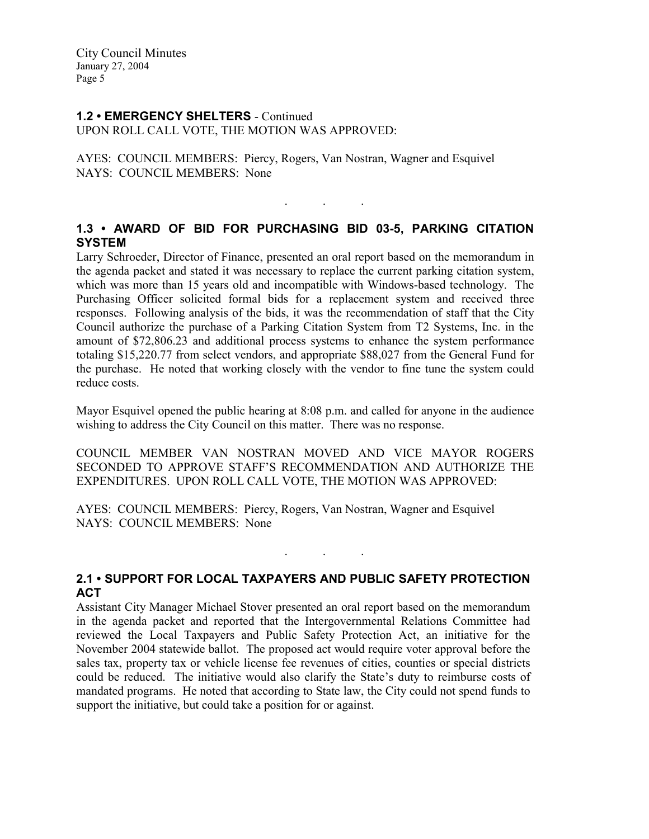### 1.2 • EMERGENCY SHELTERS - Continued UPON ROLL CALL VOTE, THE MOTION WAS APPROVED:

AYES: COUNCIL MEMBERS: Piercy, Rogers, Van Nostran, Wagner and Esquivel NAYS: COUNCIL MEMBERS: None

# 1.3 • AWARD OF BID FOR PURCHASING BID 03-5, PARKING CITATION **SYSTEM**

. . .

Larry Schroeder, Director of Finance, presented an oral report based on the memorandum in the agenda packet and stated it was necessary to replace the current parking citation system, which was more than 15 years old and incompatible with Windows-based technology. The Purchasing Officer solicited formal bids for a replacement system and received three responses. Following analysis of the bids, it was the recommendation of staff that the City Council authorize the purchase of a Parking Citation System from T2 Systems, Inc. in the amount of \$72,806.23 and additional process systems to enhance the system performance totaling \$15,220.77 from select vendors, and appropriate \$88,027 from the General Fund for the purchase. He noted that working closely with the vendor to fine tune the system could reduce costs.

Mayor Esquivel opened the public hearing at 8:08 p.m. and called for anyone in the audience wishing to address the City Council on this matter. There was no response.

COUNCIL MEMBER VAN NOSTRAN MOVED AND VICE MAYOR ROGERS SECONDED TO APPROVE STAFF'S RECOMMENDATION AND AUTHORIZE THE EXPENDITURES. UPON ROLL CALL VOTE, THE MOTION WAS APPROVED:

AYES: COUNCIL MEMBERS: Piercy, Rogers, Van Nostran, Wagner and Esquivel NAYS: COUNCIL MEMBERS: None

# 2.1 • SUPPORT FOR LOCAL TAXPAYERS AND PUBLIC SAFETY PROTECTION ACT

. . .

Assistant City Manager Michael Stover presented an oral report based on the memorandum in the agenda packet and reported that the Intergovernmental Relations Committee had reviewed the Local Taxpayers and Public Safety Protection Act, an initiative for the November 2004 statewide ballot. The proposed act would require voter approval before the sales tax, property tax or vehicle license fee revenues of cities, counties or special districts could be reduced. The initiative would also clarify the State's duty to reimburse costs of mandated programs. He noted that according to State law, the City could not spend funds to support the initiative, but could take a position for or against.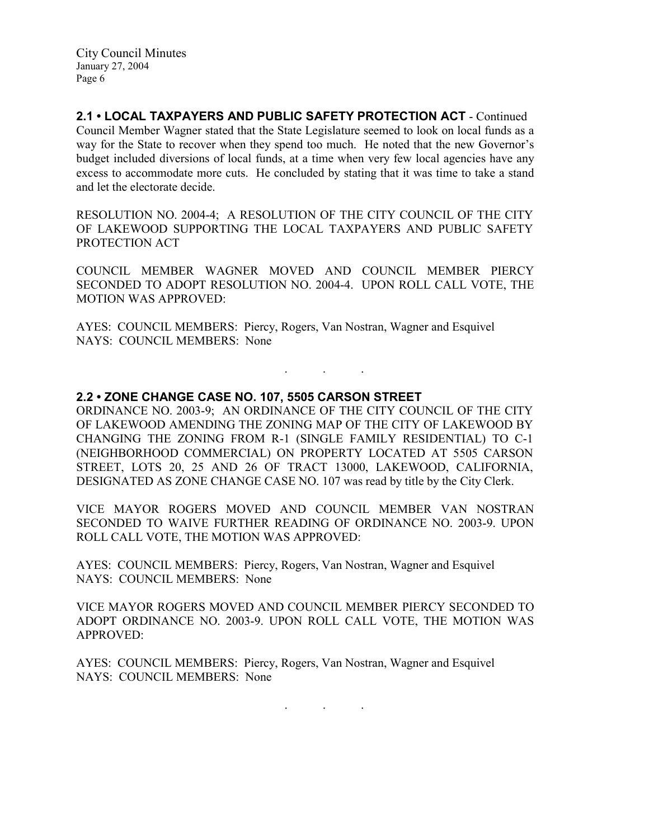2.1 • LOCAL TAXPAYERS AND PUBLIC SAFETY PROTECTION ACT - Continued Council Member Wagner stated that the State Legislature seemed to look on local funds as a way for the State to recover when they spend too much. He noted that the new Governor's budget included diversions of local funds, at a time when very few local agencies have any excess to accommodate more cuts. He concluded by stating that it was time to take a stand and let the electorate decide.

RESOLUTION NO. 2004-4; A RESOLUTION OF THE CITY COUNCIL OF THE CITY OF LAKEWOOD SUPPORTING THE LOCAL TAXPAYERS AND PUBLIC SAFETY PROTECTION ACT

COUNCIL MEMBER WAGNER MOVED AND COUNCIL MEMBER PIERCY SECONDED TO ADOPT RESOLUTION NO. 2004-4. UPON ROLL CALL VOTE, THE MOTION WAS APPROVED:

AYES: COUNCIL MEMBERS: Piercy, Rogers, Van Nostran, Wagner and Esquivel NAYS: COUNCIL MEMBERS: None

## 2.2 • ZONE CHANGE CASE NO. 107, 5505 CARSON STREET

ORDINANCE NO. 2003-9; AN ORDINANCE OF THE CITY COUNCIL OF THE CITY OF LAKEWOOD AMENDING THE ZONING MAP OF THE CITY OF LAKEWOOD BY CHANGING THE ZONING FROM R-1 (SINGLE FAMILY RESIDENTIAL) TO C-1 (NEIGHBORHOOD COMMERCIAL) ON PROPERTY LOCATED AT 5505 CARSON STREET, LOTS 20, 25 AND 26 OF TRACT 13000, LAKEWOOD, CALIFORNIA, DESIGNATED AS ZONE CHANGE CASE NO. 107 was read by title by the City Clerk.

. . .

VICE MAYOR ROGERS MOVED AND COUNCIL MEMBER VAN NOSTRAN SECONDED TO WAIVE FURTHER READING OF ORDINANCE NO. 2003-9. UPON ROLL CALL VOTE, THE MOTION WAS APPROVED:

AYES: COUNCIL MEMBERS: Piercy, Rogers, Van Nostran, Wagner and Esquivel NAYS: COUNCIL MEMBERS: None

VICE MAYOR ROGERS MOVED AND COUNCIL MEMBER PIERCY SECONDED TO ADOPT ORDINANCE NO. 2003-9. UPON ROLL CALL VOTE, THE MOTION WAS APPROVED:

AYES: COUNCIL MEMBERS: Piercy, Rogers, Van Nostran, Wagner and Esquivel NAYS: COUNCIL MEMBERS: None

. . .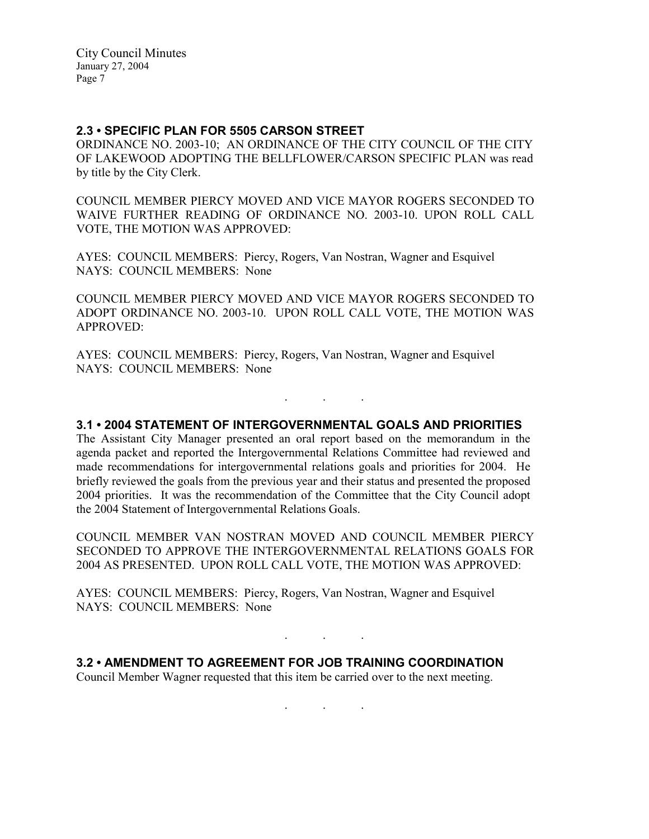## 2.3 • SPECIFIC PLAN FOR 5505 CARSON STREET

ORDINANCE NO. 2003-10; AN ORDINANCE OF THE CITY COUNCIL OF THE CITY OF LAKEWOOD ADOPTING THE BELLFLOWER/CARSON SPECIFIC PLAN was read by title by the City Clerk.

COUNCIL MEMBER PIERCY MOVED AND VICE MAYOR ROGERS SECONDED TO WAIVE FURTHER READING OF ORDINANCE NO. 2003-10. UPON ROLL CALL VOTE, THE MOTION WAS APPROVED:

AYES: COUNCIL MEMBERS: Piercy, Rogers, Van Nostran, Wagner and Esquivel NAYS: COUNCIL MEMBERS: None

COUNCIL MEMBER PIERCY MOVED AND VICE MAYOR ROGERS SECONDED TO ADOPT ORDINANCE NO. 2003-10. UPON ROLL CALL VOTE, THE MOTION WAS APPROVED:

AYES: COUNCIL MEMBERS: Piercy, Rogers, Van Nostran, Wagner and Esquivel NAYS: COUNCIL MEMBERS: None

3.1 • 2004 STATEMENT OF INTERGOVERNMENTAL GOALS AND PRIORITIES

. . .

The Assistant City Manager presented an oral report based on the memorandum in the agenda packet and reported the Intergovernmental Relations Committee had reviewed and made recommendations for intergovernmental relations goals and priorities for 2004. He briefly reviewed the goals from the previous year and their status and presented the proposed 2004 priorities. It was the recommendation of the Committee that the City Council adopt the 2004 Statement of Intergovernmental Relations Goals.

COUNCIL MEMBER VAN NOSTRAN MOVED AND COUNCIL MEMBER PIERCY SECONDED TO APPROVE THE INTERGOVERNMENTAL RELATIONS GOALS FOR 2004 AS PRESENTED. UPON ROLL CALL VOTE, THE MOTION WAS APPROVED:

. . .

. . .

AYES: COUNCIL MEMBERS: Piercy, Rogers, Van Nostran, Wagner and Esquivel NAYS: COUNCIL MEMBERS: None

3.2 • AMENDMENT TO AGREEMENT FOR JOB TRAINING COORDINATION Council Member Wagner requested that this item be carried over to the next meeting.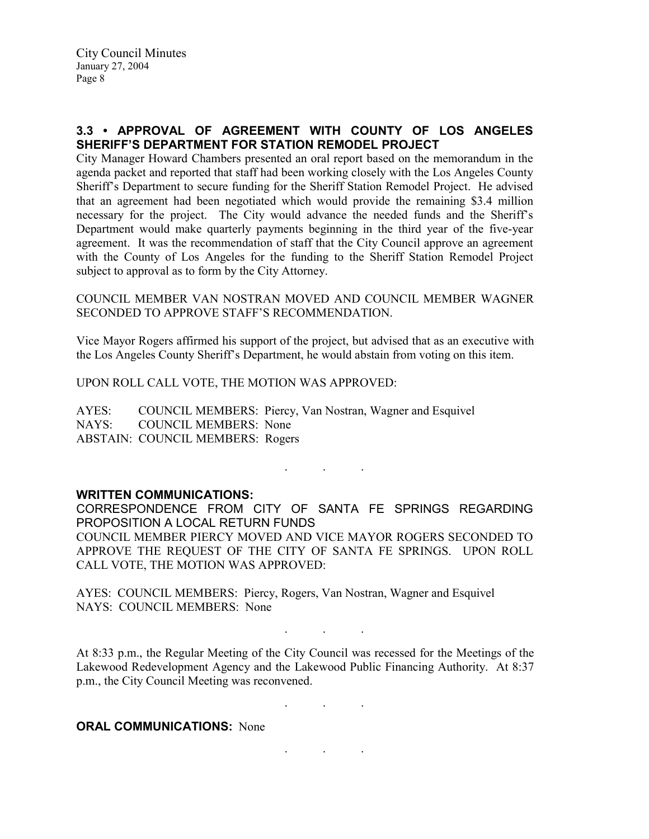# 3.3 • APPROVAL OF AGREEMENT WITH COUNTY OF LOS ANGELES SHERIFF'S DEPARTMENT FOR STATION REMODEL PROJECT

City Manager Howard Chambers presented an oral report based on the memorandum in the agenda packet and reported that staff had been working closely with the Los Angeles County Sheriff's Department to secure funding for the Sheriff Station Remodel Project. He advised that an agreement had been negotiated which would provide the remaining \$3.4 million necessary for the project. The City would advance the needed funds and the Sheriff's Department would make quarterly payments beginning in the third year of the five-year agreement. It was the recommendation of staff that the City Council approve an agreement with the County of Los Angeles for the funding to the Sheriff Station Remodel Project subject to approval as to form by the City Attorney.

COUNCIL MEMBER VAN NOSTRAN MOVED AND COUNCIL MEMBER WAGNER SECONDED TO APPROVE STAFF'S RECOMMENDATION.

Vice Mayor Rogers affirmed his support of the project, but advised that as an executive with the Los Angeles County Sheriff's Department, he would abstain from voting on this item.

UPON ROLL CALL VOTE, THE MOTION WAS APPROVED:

AYES: COUNCIL MEMBERS: Piercy, Van Nostran, Wagner and Esquivel NAYS: COUNCIL MEMBERS: None ABSTAIN: COUNCIL MEMBERS: Rogers

#### . . .

### WRITTEN COMMUNICATIONS:

CORRESPONDENCE FROM CITY OF SANTA FE SPRINGS REGARDING PROPOSITION A LOCAL RETURN FUNDS COUNCIL MEMBER PIERCY MOVED AND VICE MAYOR ROGERS SECONDED TO APPROVE THE REQUEST OF THE CITY OF SANTA FE SPRINGS. UPON ROLL CALL VOTE, THE MOTION WAS APPROVED:

AYES: COUNCIL MEMBERS: Piercy, Rogers, Van Nostran, Wagner and Esquivel NAYS: COUNCIL MEMBERS: None

At 8:33 p.m., the Regular Meeting of the City Council was recessed for the Meetings of the Lakewood Redevelopment Agency and the Lakewood Public Financing Authority. At 8:37 p.m., the City Council Meeting was reconvened.

. . .

. . .

. . .

**ORAL COMMUNICATIONS: None**